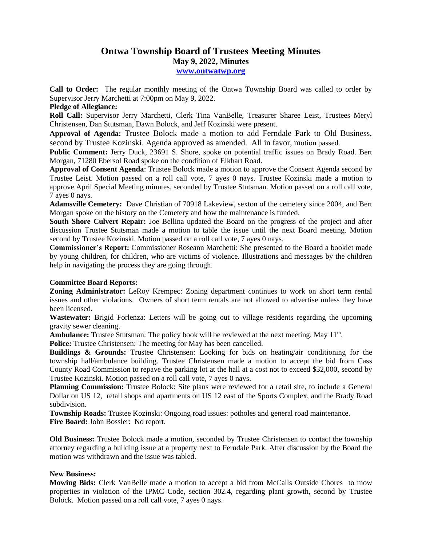## **Ontwa Township Board of Trustees Meeting Minutes May 9, 2022, Minutes**

**[www.ontwatwp.org](http://www.ontwatwp.org/)**

**Call to Order:** The regular monthly meeting of the Ontwa Township Board was called to order by Supervisor Jerry Marchetti at 7:00pm on May 9, 2022.

## **Pledge of Allegiance:**

**Roll Call:** Supervisor Jerry Marchetti, Clerk Tina VanBelle, Treasurer Sharee Leist, Trustees Meryl Christensen, Dan Stutsman, Dawn Bolock, and Jeff Kozinski were present.

**Approval of Agenda:** Trustee Bolock made a motion to add Ferndale Park to Old Business, second by Trustee Kozinski. Agenda approved as amended. All in favor, motion passed.

**Public Comment:** Jerry Duck, 23691 S. Shore, spoke on potential traffic issues on Brady Road. Bert Morgan, 71280 Ebersol Road spoke on the condition of Elkhart Road.

**Approval of Consent Agenda**: Trustee Bolock made a motion to approve the Consent Agenda second by Trustee Leist. Motion passed on a roll call vote, 7 ayes 0 nays. Trustee Kozinski made a motion to approve April Special Meeting minutes, seconded by Trustee Stutsman. Motion passed on a roll call vote, 7 ayes 0 nays.

**Adamsville Cemetery:** Dave Christian of 70918 Lakeview, sexton of the cemetery since 2004, and Bert Morgan spoke on the history on the Cemetery and how the maintenance is funded.

**South Shore Culvert Repair:** Joe Bellina updated the Board on the progress of the project and after discussion Trustee Stutsman made a motion to table the issue until the next Board meeting. Motion second by Trustee Kozinski. Motion passed on a roll call vote, 7 ayes 0 nays.

**Commissioner's Report:** Commissioner Roseann Marchetti: She presented to the Board a booklet made by young children, for children, who are victims of violence. Illustrations and messages by the children help in navigating the process they are going through.

## **Committee Board Reports:**

**Zoning Administrator:** LeRoy Krempec: Zoning department continues to work on short term rental issues and other violations. Owners of short term rentals are not allowed to advertise unless they have been licensed.

**Wastewater:** Brigid Forlenza: Letters will be going out to village residents regarding the upcoming gravity sewer cleaning.

Ambulance: Trustee Stutsman: The policy book will be reviewed at the next meeting, May 11<sup>th</sup>.

**Police:** Trustee Christensen: The meeting for May has been cancelled.

**Buildings & Grounds:** Trustee Christensen: Looking for bids on heating/air conditioning for the township hall/ambulance building. Trustee Christensen made a motion to accept the bid from Cass County Road Commission to repave the parking lot at the hall at a cost not to exceed \$32,000, second by Trustee Kozinski. Motion passed on a roll call vote, 7 ayes 0 nays.

**Planning Commission:** Trustee Bolock: Site plans were reviewed for a retail site, to include a General Dollar on US 12, retail shops and apartments on US 12 east of the Sports Complex, and the Brady Road subdivision.

**Township Roads:** Trustee Kozinski: Ongoing road issues: potholes and general road maintenance. **Fire Board:** John Bossler: No report.

**Old Business:** Trustee Bolock made a motion, seconded by Trustee Christensen to contact the township attorney regarding a building issue at a property next to Ferndale Park. After discussion by the Board the motion was withdrawn and the issue was tabled.

## **New Business:**

**Mowing Bids:** Clerk VanBelle made a motion to accept a bid from McCalls Outside Chores to mow properties in violation of the IPMC Code, section 302.4, regarding plant growth, second by Trustee Bolock. Motion passed on a roll call vote, 7 ayes 0 nays.